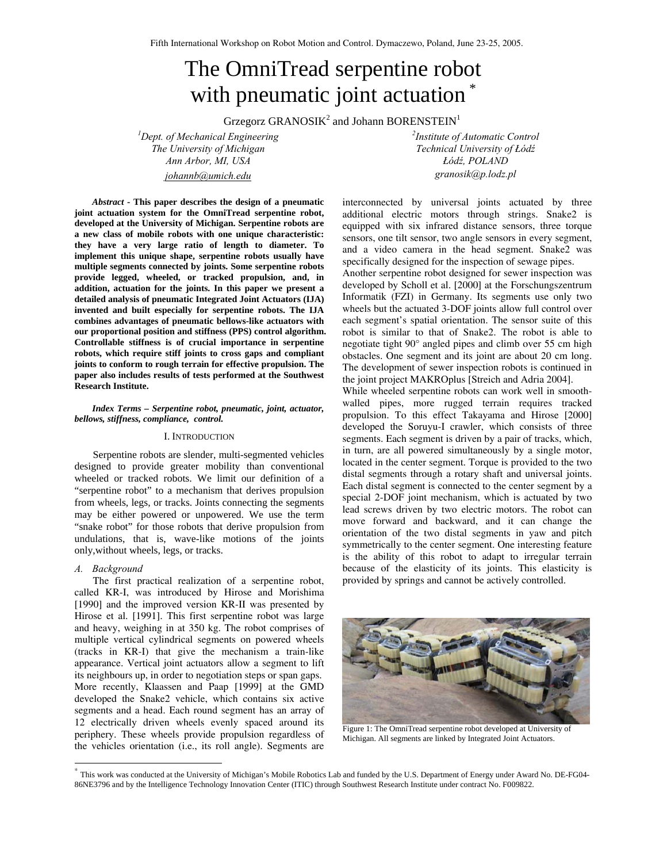# The OmniTread serpentine robot with pneumatic joint actuation<sup>\*</sup>

Grzegorz GRANOSI $K^2$  and Johann BORENSTEIN<sup>1</sup>

*1 Dept. of Mechanical Engineering <sup>2</sup> The University of Michigan Technical University of Łódź Ann Arbor, MI, USA Łódź, POLAND johannb@umich.edu granosik@p.lodz.pl* 

*Institute of Automatic Control* 

*Abstract* **- This paper describes the design of a pneumatic joint actuation system for the OmniTread serpentine robot, developed at the University of Michigan. Serpentine robots are a new class of mobile robots with one unique characteristic: they have a very large ratio of length to diameter. To implement this unique shape, serpentine robots usually have multiple segments connected by joints. Some serpentine robots provide legged, wheeled, or tracked propulsion, and, in addition, actuation for the joints. In this paper we present a detailed analysis of pneumatic Integrated Joint Actuators (IJA) invented and built especially for serpentine robots. The IJA combines advantages of pneumatic bellows-like actuators with our proportional position and stiffness (PPS) control algorithm. Controllable stiffness is of crucial importance in serpentine robots, which require stiff joints to cross gaps and compliant joints to conform to rough terrain for effective propulsion. The paper also includes results of tests performed at the Southwest Research Institute.** 

### *Index Terms – Serpentine robot, pneumatic, joint, actuator, bellows, stiffness, compliance, control.*

#### I. INTRODUCTION

Serpentine robots are slender, multi-segmented vehicles designed to provide greater mobility than conventional wheeled or tracked robots. We limit our definition of a "serpentine robot" to a mechanism that derives propulsion from wheels, legs, or tracks. Joints connecting the segments may be either powered or unpowered. We use the term "snake robot" for those robots that derive propulsion from undulations, that is, wave-like motions of the joints only,without wheels, legs, or tracks.

# *A. Background*

l

The first practical realization of a serpentine robot, called KR-I, was introduced by Hirose and Morishima [1990] and the improved version KR-II was presented by Hirose et al. [1991]. This first serpentine robot was large and heavy, weighing in at 350 kg. The robot comprises of multiple vertical cylindrical segments on powered wheels (tracks in KR-I) that give the mechanism a train-like appearance. Vertical joint actuators allow a segment to lift its neighbours up, in order to negotiation steps or span gaps. More recently, Klaassen and Paap [1999] at the GMD developed the Snake2 vehicle, which contains six active segments and a head. Each round segment has an array of 12 electrically driven wheels evenly spaced around its periphery. These wheels provide propulsion regardless of the vehicles orientation (i.e., its roll angle). Segments are interconnected by universal joints actuated by three additional electric motors through strings. Snake2 is equipped with six infrared distance sensors, three torque sensors, one tilt sensor, two angle sensors in every segment, and a video camera in the head segment. Snake2 was specifically designed for the inspection of sewage pipes.

Another serpentine robot designed for sewer inspection was developed by Scholl et al. [2000] at the Forschungszentrum Informatik (FZI) in Germany. Its segments use only two wheels but the actuated 3-DOF joints allow full control over each segment's spatial orientation. The sensor suite of this robot is similar to that of Snake2. The robot is able to negotiate tight 90° angled pipes and climb over 55 cm high obstacles. One segment and its joint are about 20 cm long. The development of sewer inspection robots is continued in the joint project MAKROplus [Streich and Adria 2004].

While wheeled serpentine robots can work well in smoothwalled pipes, more rugged terrain requires tracked propulsion. To this effect Takayama and Hirose [2000] developed the Soruyu-I crawler, which consists of three segments. Each segment is driven by a pair of tracks, which, in turn, are all powered simultaneously by a single motor, located in the center segment. Torque is provided to the two distal segments through a rotary shaft and universal joints. Each distal segment is connected to the center segment by a special 2-DOF joint mechanism, which is actuated by two lead screws driven by two electric motors. The robot can move forward and backward, and it can change the orientation of the two distal segments in yaw and pitch symmetrically to the center segment. One interesting feature is the ability of this robot to adapt to irregular terrain because of the elasticity of its joints. This elasticity is provided by springs and cannot be actively controlled.



Figure 1: The OmniTread serpentine robot developed at University of Michigan. All segments are linked by Integrated Joint Actuators.

<sup>\*</sup> This work was conducted at the University of Michigan's Mobile Robotics Lab and funded by the U.S. Department of Energy under Award No. DE-FG04- 86NE3796 and by the Intelligence Technology Innovation Center (ITIC) through Southwest Research Institute under contract No. F009822.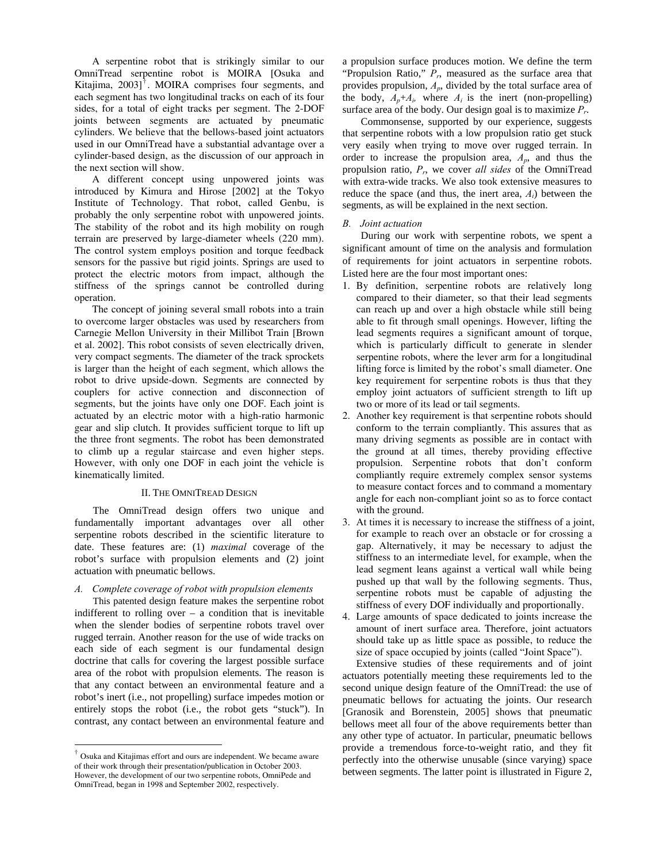A serpentine robot that is strikingly similar to our OmniTread serpentine robot is MOIRA [Osuka and Kitajima,  $2003$ <sup> $\dagger$ </sup>. MOIRA comprises four segments, and each segment has two longitudinal tracks on each of its four sides, for a total of eight tracks per segment. The 2-DOF joints between segments are actuated by pneumatic cylinders. We believe that the bellows-based joint actuators used in our OmniTread have a substantial advantage over a cylinder-based design, as the discussion of our approach in the next section will show.

A different concept using unpowered joints was introduced by Kimura and Hirose [2002] at the Tokyo Institute of Technology. That robot, called Genbu, is probably the only serpentine robot with unpowered joints. The stability of the robot and its high mobility on rough terrain are preserved by large-diameter wheels (220 mm). The control system employs position and torque feedback sensors for the passive but rigid joints. Springs are used to protect the electric motors from impact, although the stiffness of the springs cannot be controlled during operation.

The concept of joining several small robots into a train to overcome larger obstacles was used by researchers from Carnegie Mellon University in their Millibot Train [Brown et al. 2002]. This robot consists of seven electrically driven, very compact segments. The diameter of the track sprockets is larger than the height of each segment, which allows the robot to drive upside-down. Segments are connected by couplers for active connection and disconnection of segments, but the joints have only one DOF. Each joint is actuated by an electric motor with a high-ratio harmonic gear and slip clutch. It provides sufficient torque to lift up the three front segments. The robot has been demonstrated to climb up a regular staircase and even higher steps. However, with only one DOF in each joint the vehicle is kinematically limited.

# II. THE OMNITREAD DESIGN

The OmniTread design offers two unique and fundamentally important advantages over all other serpentine robots described in the scientific literature to date. These features are: (1) *maximal* coverage of the robot's surface with propulsion elements and (2) joint actuation with pneumatic bellows.

### *A. Complete coverage of robot with propulsion elements*

This patented design feature makes the serpentine robot indifferent to rolling over  $-$  a condition that is inevitable when the slender bodies of serpentine robots travel over rugged terrain. Another reason for the use of wide tracks on each side of each segment is our fundamental design doctrine that calls for covering the largest possible surface area of the robot with propulsion elements. The reason is that any contact between an environmental feature and a robot's inert (i.e., not propelling) surface impedes motion or entirely stops the robot (i.e., the robot gets "stuck"). In contrast, any contact between an environmental feature and

 $\overline{a}$ 

a propulsion surface produces motion. We define the term "Propulsion Ratio,"  $\overline{P}_r$ , measured as the surface area that provides propulsion, *Ap*, divided by the total surface area of the body,  $A_n + A_i$ , where  $A_i$  is the inert (non-propelling) surface area of the body. Our design goal is to maximize *Pr*.

Commonsense, supported by our experience, suggests that serpentine robots with a low propulsion ratio get stuck very easily when trying to move over rugged terrain. In order to increase the propulsion area, *Ap*, and thus the propulsion ratio, *Pr*, we cover *all sides* of the OmniTread with extra-wide tracks. We also took extensive measures to reduce the space (and thus, the inert area, *Ai*) between the segments, as will be explained in the next section.

#### *B. Joint actuation*

During our work with serpentine robots, we spent a significant amount of time on the analysis and formulation of requirements for joint actuators in serpentine robots. Listed here are the four most important ones:

- 1. By definition, serpentine robots are relatively long compared to their diameter, so that their lead segments can reach up and over a high obstacle while still being able to fit through small openings. However, lifting the lead segments requires a significant amount of torque, which is particularly difficult to generate in slender serpentine robots, where the lever arm for a longitudinal lifting force is limited by the robot's small diameter. One key requirement for serpentine robots is thus that they employ joint actuators of sufficient strength to lift up two or more of its lead or tail segments.
- 2. Another key requirement is that serpentine robots should conform to the terrain compliantly. This assures that as many driving segments as possible are in contact with the ground at all times, thereby providing effective propulsion. Serpentine robots that don't conform compliantly require extremely complex sensor systems to measure contact forces and to command a momentary angle for each non-compliant joint so as to force contact with the ground.
- 3. At times it is necessary to increase the stiffness of a joint, for example to reach over an obstacle or for crossing a gap. Alternatively, it may be necessary to adjust the stiffness to an intermediate level, for example, when the lead segment leans against a vertical wall while being pushed up that wall by the following segments. Thus, serpentine robots must be capable of adjusting the stiffness of every DOF individually and proportionally.
- 4. Large amounts of space dedicated to joints increase the amount of inert surface area. Therefore, joint actuators should take up as little space as possible, to reduce the size of space occupied by joints (called "Joint Space").

Extensive studies of these requirements and of joint actuators potentially meeting these requirements led to the second unique design feature of the OmniTread: the use of pneumatic bellows for actuating the joints. Our research [Granosik and Borenstein, 2005] shows that pneumatic bellows meet all four of the above requirements better than any other type of actuator. In particular, pneumatic bellows provide a tremendous force-to-weight ratio, and they fit perfectly into the otherwise unusable (since varying) space between segments. The latter point is illustrated in Figure 2,

<sup>†</sup> Osuka and Kitajimas effort and ours are independent. We became aware of their work through their presentation/publication in October 2003. However, the development of our two serpentine robots, OmniPede and OmniTread, began in 1998 and September 2002, respectively.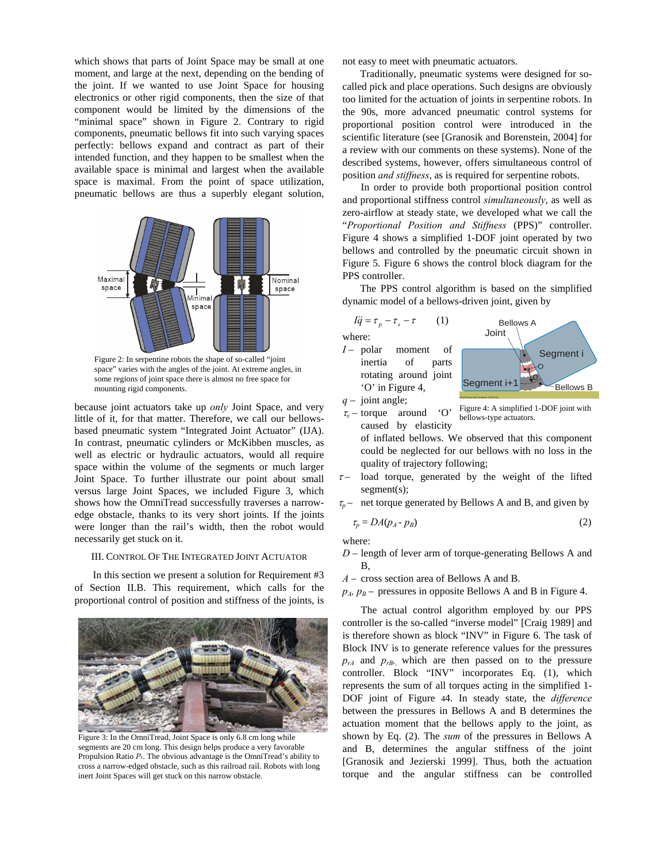which shows that parts of Joint Space may be small at one moment, and large at the next, depending on the bending of the joint. If we wanted to use Joint Space for housing electronics or other rigid components, then the size of that component would be limited by the dimensions of the "minimal space" shown in Figure 2. Contrary to rigid components, pneumatic bellows fit into such varying spaces perfectly: bellows expand and contract as part of their intended function, and they happen to be smallest when the available space is minimal and largest when the available space is maximal. From the point of space utilization, pneumatic bellows are thus a superbly elegant solution,



Figure 2: In serpentine robots the shape of so-called "joint space" varies with the angles of the joint. At extreme angles, in some regions of joint space there is almost no free space for mounting rigid components.

because joint actuators take up *only* Joint Space, and very little of it, for that matter. Therefore, we call our bellowsbased pneumatic system "Integrated Joint Actuator" (IJA). In contrast, pneumatic cylinders or McKibben muscles, as well as electric or hydraulic actuators, would all require space within the volume of the segments or much larger Joint Space. To further illustrate our point about small versus large Joint Spaces, we included Figure 3, which shows how the OmniTread successfully traverses a narrowedge obstacle, thanks to its very short joints. If the joints were longer than the rail's width, then the robot would necessarily get stuck on it.

#### III. CONTROL OF THE INTEGRATED JOINT ACTUATOR

In this section we present a solution for Requirement #3 of Section II.B. This requirement, which calls for the proportional control of position and stiffness of the joints, is



Figure 3: In the OmniTread, Joint Space is only 6.8 cm long while segments are 20 cm long. This design helps produce a very favorable Propulsion Ratio *Pr*. The obvious advantage is the OmniTread's ability to cross a narrow-edged obstacle, such as this railroad rail. Robots with long inert Joint Spaces will get stuck on this narrow obstacle.

not easy to meet with pneumatic actuators.

Traditionally, pneumatic systems were designed for socalled pick and place operations. Such designs are obviously too limited for the actuation of joints in serpentine robots. In the 90s, more advanced pneumatic control systems for proportional position control were introduced in the scientific literature (see [Granosik and Borenstein, 2004] for a review with our comments on these systems). None of the described systems, however, offers simultaneous control of position *and stiffness*, as is required for serpentine robots.

In order to provide both proportional position control and proportional stiffness control *simultaneously*, as well as zero-airflow at steady state, we developed what we call the "*Proportional Position and Stiffness* (PPS)" controller. Figure 4 shows a simplified 1-DOF joint operated by two bellows and controlled by the pneumatic circuit shown in Figure 5. Figure 6 shows the control block diagram for the PPS controller.

The PPS control algorithm is based on the simplified dynamic model of a bellows-driven joint, given by



where: *I* – polar moment of inertia of parts rotating around joint



*q* – joint angle;

 $\tau_s$  – torque around 'O' caused by elasticity

'O' in Figure 4,

Figure 4: A simplified 1-DOF joint with bellows-type actuators.

of inflated bellows. We observed that this component could be neglected for our bellows with no loss in the quality of trajectory following;

- $\tau$  load torque, generated by the weight of the lifted segment(s);
- $\tau_p$  net torque generated by Bellows A and B, and given by

$$
\tau_p = DA(p_A - p_B) \tag{2}
$$

where:

*D* – length of lever arm of torque-generating Bellows A and B,

*A* – cross section area of Bellows A and B.

 $p_A$ ,  $p_B$  – pressures in opposite Bellows A and B in Figure 4.

The actual control algorithm employed by our PPS controller is the so-called "inverse model" [Craig 1989] and is therefore shown as block "INV" in Figure 6. The task of Block INV is to generate reference values for the pressures  $p_{rA}$  and  $p_{rB}$ , which are then passed on to the pressure controller. Block "INV" incorporates Eq. (1), which represents the sum of all torques acting in the simplified 1- DOF joint of Figure 44. In steady state, the *difference* between the pressures in Bellows A and B determines the actuation moment that the bellows apply to the joint, as shown by Eq. (2). The *sum* of the pressures in Bellows A and B, determines the angular stiffness of the joint [Granosik and Jezierski 1999]. Thus, both the actuation torque and the angular stiffness can be controlled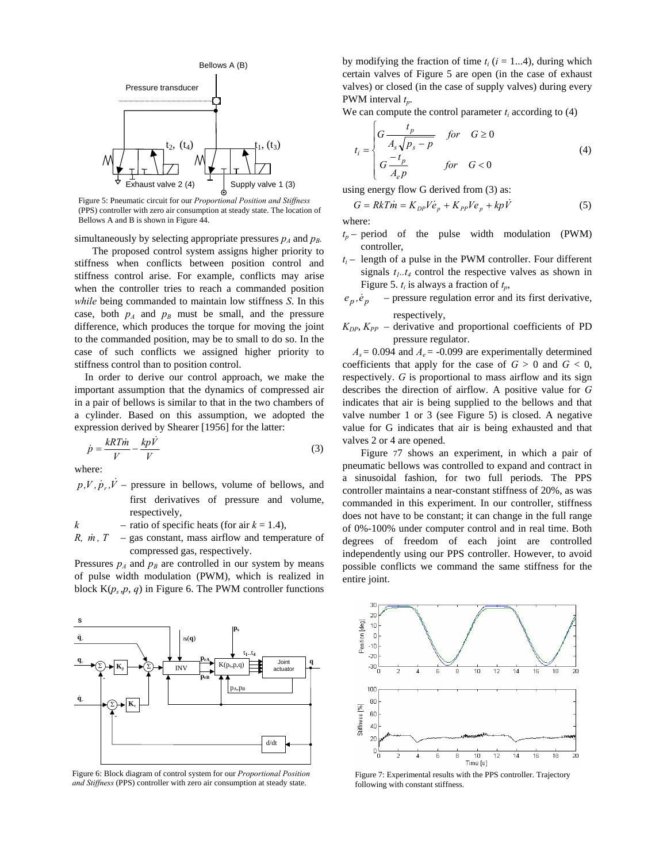

Figure 5: Pneumatic circuit for our *Proportional Position and Stiffness* (PPS) controller with zero air consumption at steady state. The location of Bellows A and B is shown in Figure 44.

simultaneously by selecting appropriate pressures  $p_A$  and  $p_B$ .

The proposed control system assigns higher priority to stiffness when conflicts between position control and stiffness control arise. For example, conflicts may arise when the controller tries to reach a commanded position *while* being commanded to maintain low stiffness *S*. In this case, both  $p_A$  and  $p_B$  must be small, and the pressure difference, which produces the torque for moving the joint to the commanded position, may be to small to do so. In the case of such conflicts we assigned higher priority to stiffness control than to position control.

In order to derive our control approach, we make the important assumption that the dynamics of compressed air in a pair of bellows is similar to that in the two chambers of a cylinder. Based on this assumption, we adopted the expression derived by Shearer [1956] for the latter:

$$
\dot{p} = \frac{kRT\dot{m}}{V} - \frac{kp\dot{V}}{V}
$$
\n(3)

where:

 $p, V, p, V$  – pressure in bellows, volume of bellows, and first derivatives of pressure and volume, respectively,

 $k$  – ratio of specific heats (for air  $k = 1.4$ ),

*R, m, T* – gas constant, mass airflow and temperature of compressed gas, respectively.

Pressures  $p_A$  and  $p_B$  are controlled in our system by means of pulse width modulation (PWM), which is realized in block  $K(p_s, p, q)$  in Figure 6. The PWM controller functions



Figure 6: Block diagram of control system for our *Proportional Position and Stiffness* (PPS) controller with zero air consumption at steady state.

by modifying the fraction of time  $t_i$  ( $i = 1...4$ ), during which certain valves of Figure 5 are open (in the case of exhaust valves) or closed (in the case of supply valves) during every PWM interval *tp*.

We can compute the control parameter  $t_i$  according to  $(4)$ 

$$
t_i = \begin{cases} G \frac{t_p}{A_s \sqrt{p_s - p}} & \text{for} \quad G \ge 0\\ G \frac{-t_p}{A_e p} & \text{for} \quad G < 0 \end{cases} \tag{4}
$$

using energy flow G derived from (3) as:

$$
G = RkT\dot{m} = K_{DP}V\dot{e}_p + K_{PP}Ve_p + kp\dot{V}
$$
\n(5)

where:

- $t_p$  period of the pulse width modulation (PWM) controller,
- $t_i$  length of a pulse in the PWM controller. Four different signals  $t_1$ .. $t_4$  control the respective valves as shown in Figure 5.  $t_i$  is always a fraction of  $t_p$ ,
- $e_p$ ,  $\dot{e}_p$  pressure regulation error and its first derivative, respectively,
- $K_{DP}$ ,  $K_{PP}$  derivative and proportional coefficients of PD pressure regulator.

 $A_s = 0.094$  and  $A_e = -0.099$  are experimentally determined coefficients that apply for the case of  $G > 0$  and  $G < 0$ , respectively. *G* is proportional to mass airflow and its sign describes the direction of airflow. A positive value for *G* indicates that air is being supplied to the bellows and that valve number 1 or 3 (see Figure 5) is closed. A negative value for G indicates that air is being exhausted and that valves 2 or 4 are opened.

Figure 77 shows an experiment, in which a pair of pneumatic bellows was controlled to expand and contract in a sinusoidal fashion, for two full periods. The PPS controller maintains a near-constant stiffness of 20%, as was commanded in this experiment. In our controller, stiffness does not have to be constant; it can change in the full range of 0%-100% under computer control and in real time. Both degrees of freedom of each joint are controlled independently using our PPS controller. However, to avoid possible conflicts we command the same stiffness for the entire joint.



Figure 7: Experimental results with the PPS controller. Trajectory following with constant stiffness.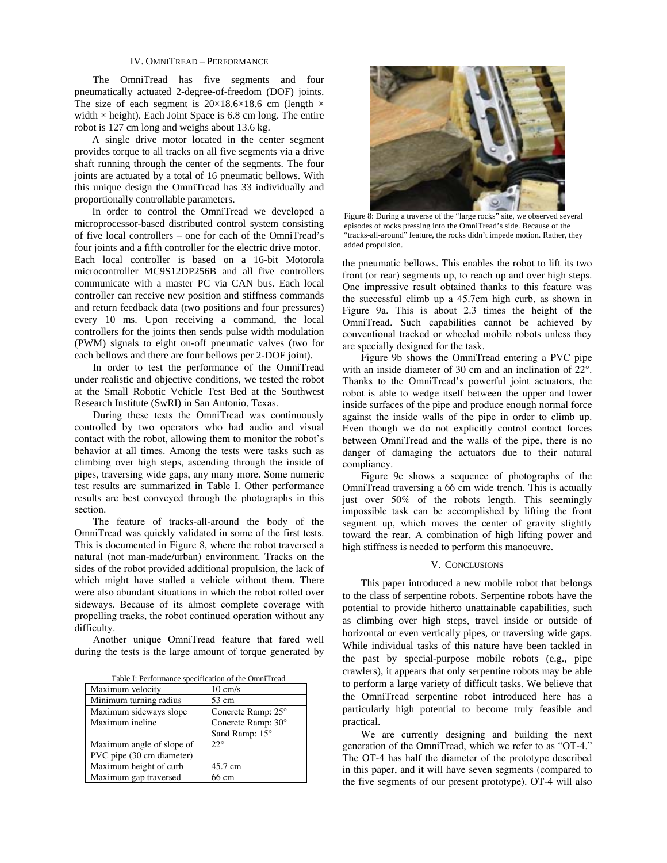# IV. OMNITREAD – PERFORMANCE

The OmniTread has five segments and four pneumatically actuated 2-degree-of-freedom (DOF) joints. The size of each segment is  $20\times18.6\times18.6$  cm (length  $\times$ width  $\times$  height). Each Joint Space is 6.8 cm long. The entire robot is 127 cm long and weighs about 13.6 kg.

A single drive motor located in the center segment provides torque to all tracks on all five segments via a drive shaft running through the center of the segments. The four joints are actuated by a total of 16 pneumatic bellows. With this unique design the OmniTread has 33 individually and proportionally controllable parameters.

In order to control the OmniTread we developed a microprocessor-based distributed control system consisting of five local controllers – one for each of the OmniTread's four joints and a fifth controller for the electric drive motor. Each local controller is based on a 16-bit Motorola microcontroller MC9S12DP256B and all five controllers communicate with a master PC via CAN bus. Each local controller can receive new position and stiffness commands and return feedback data (two positions and four pressures) every 10 ms. Upon receiving a command, the local controllers for the joints then sends pulse width modulation (PWM) signals to eight on-off pneumatic valves (two for each bellows and there are four bellows per 2-DOF joint).

In order to test the performance of the OmniTread under realistic and objective conditions, we tested the robot at the Small Robotic Vehicle Test Bed at the Southwest Research Institute (SwRI) in San Antonio, Texas.

During these tests the OmniTread was continuously controlled by two operators who had audio and visual contact with the robot, allowing them to monitor the robot's behavior at all times. Among the tests were tasks such as climbing over high steps, ascending through the inside of pipes, traversing wide gaps, any many more. Some numeric test results are summarized in Table I. Other performance results are best conveyed through the photographs in this section.

The feature of tracks-all-around the body of the OmniTread was quickly validated in some of the first tests. This is documented in Figure 8, where the robot traversed a natural (not man-made/urban) environment. Tracks on the sides of the robot provided additional propulsion, the lack of which might have stalled a vehicle without them. There were also abundant situations in which the robot rolled over sideways. Because of its almost complete coverage with propelling tracks, the robot continued operation without any difficulty.

Another unique OmniTread feature that fared well during the tests is the large amount of torque generated by

Table I: Performance specification of the OmniTread

| <b>Fabre 1. I chommance specification of the Omini Fread</b> |                    |
|--------------------------------------------------------------|--------------------|
| Maximum velocity                                             | $10 \text{ cm/s}$  |
| Minimum turning radius                                       | 53 cm              |
| Maximum sideways slope                                       | Concrete Ramp: 25° |
| Maximum incline                                              | Concrete Ramp: 30° |
|                                                              | Sand Ramp: 15°     |
| Maximum angle of slope of                                    | $22^\circ$         |
| PVC pipe (30 cm diameter)                                    |                    |
| Maximum height of curb                                       | 45.7 cm            |
| Maximum gap traversed                                        | 66 cm              |



Figure 8: During a traverse of the "large rocks" site, we observed several episodes of rocks pressing into the OmniTread's side. Because of the "tracks-all-around" feature, the rocks didn't impede motion. Rather, they added propulsion.

the pneumatic bellows. This enables the robot to lift its two front (or rear) segments up, to reach up and over high steps. One impressive result obtained thanks to this feature was the successful climb up a 45.7cm high curb, as shown in Figure 9a. This is about 2.3 times the height of the OmniTread. Such capabilities cannot be achieved by conventional tracked or wheeled mobile robots unless they are specially designed for the task.

Figure 9b shows the OmniTread entering a PVC pipe with an inside diameter of 30 cm and an inclination of 22°. Thanks to the OmniTread's powerful joint actuators, the robot is able to wedge itself between the upper and lower inside surfaces of the pipe and produce enough normal force against the inside walls of the pipe in order to climb up. Even though we do not explicitly control contact forces between OmniTread and the walls of the pipe, there is no danger of damaging the actuators due to their natural compliancy.

Figure 9c shows a sequence of photographs of the OmniTread traversing a 66 cm wide trench. This is actually just over 50% of the robots length. This seemingly impossible task can be accomplished by lifting the front segment up, which moves the center of gravity slightly toward the rear. A combination of high lifting power and high stiffness is needed to perform this manoeuvre.

# V. CONCLUSIONS

This paper introduced a new mobile robot that belongs to the class of serpentine robots. Serpentine robots have the potential to provide hitherto unattainable capabilities, such as climbing over high steps, travel inside or outside of horizontal or even vertically pipes, or traversing wide gaps. While individual tasks of this nature have been tackled in the past by special-purpose mobile robots (e.g., pipe crawlers), it appears that only serpentine robots may be able to perform a large variety of difficult tasks. We believe that the OmniTread serpentine robot introduced here has a particularly high potential to become truly feasible and practical.

We are currently designing and building the next generation of the OmniTread, which we refer to as "OT-4." The OT-4 has half the diameter of the prototype described in this paper, and it will have seven segments (compared to the five segments of our present prototype). OT-4 will also